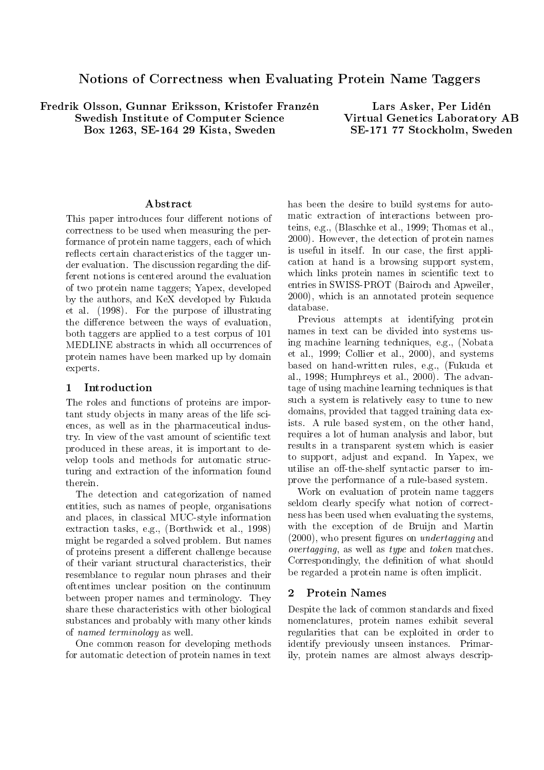# Notions of Correctness when Evaluating Protein Name Taggers

Fredrik Olsson, Gunnar Eriksson, Kristofer Franzén **Swedish Institute of Computer Science** Box 1263, SE-164 29 Kista, Sweden

Lars Asker, Per Lidén **Virtual Genetics Laboratory AB** SE-171 77 Stockholm, Sweden

## Abstract

This paper introduces four different notions of correctness to be used when measuring the performance of protein name taggers, each of which reflects certain characteristics of the tagger under evaluation. The discussion regarding the different notions is centered around the evaluation of two protein name taggers; Yapex, developed by the authors, and KeX developed by Fukuda et al. (1998). For the purpose of illustrating the difference between the ways of evaluation. both taggers are applied to a test corpus of 101 MEDLINE abstracts in which all occurrences of protein names have been marked up by domain experts.

### Introduction  $\mathbf{1}$

The roles and functions of proteins are important study objects in many areas of the life sciences, as well as in the pharmaceutical industry. In view of the vast amount of scientific text produced in these areas, it is important to develop tools and methods for automatic structuring and extraction of the information found therein.

The detection and categorization of named entities, such as names of people, organisations and places, in classical MUC-style information extraction tasks, e.g., (Borthwick et al., 1998) might be regarded a solved problem. But names of proteins present a different challenge because of their variant structural characteristics, their resemblance to regular noun phrases and their oftentimes unclear position on the continuum between proper names and terminology. They share these characteristics with other biological substances and probably with many other kinds of *named terminology* as well.

One common reason for developing methods for automatic detection of protein names in text

has been the desire to build systems for automatic extraction of interactions between proteins, e.g., (Blaschke et al., 1999; Thomas et al., 2000). However, the detection of protein names is useful in itself. In our case, the first application at hand is a browsing support system, which links protein names in scientific text to entries in SWISS-PROT (Bairoch and Apweiler, 2000), which is an annotated protein sequence database.

Previous attempts at identifying protein names in text can be divided into systems using machine learning techniques, e.g., (Nobata et al., 1999; Collier et al., 2000), and systems based on hand-written rules, e.g., (Fukuda et al., 1998; Humphreys et al., 2000). The advantage of using machine learning techniques is that such a system is relatively easy to tune to new domains, provided that tagged training data exists. A rule based system, on the other hand, requires a lot of human analysis and labor, but results in a transparent system which is easier to support, adjust and expand. In Yapex, we utilise an off-the-shelf syntactic parser to improve the performance of a rule-based system.

Work on evaluation of protein name taggers seldom clearly specify what notion of correctness has been used when evaluating the systems, with the exception of de Bruijn and Martin  $(2000)$ , who present figures on *undertagging* and *overtagging*, as well as *type* and *token* matches. Correspondingly, the definition of what should be regarded a protein name is often implicit.

### $\overline{2}$ **Protein Names**

Despite the lack of common standards and fixed nomenclatures, protein names exhibit several regularities that can be exploited in order to identify previously unseen instances. Primarily, protein names are almost always descrip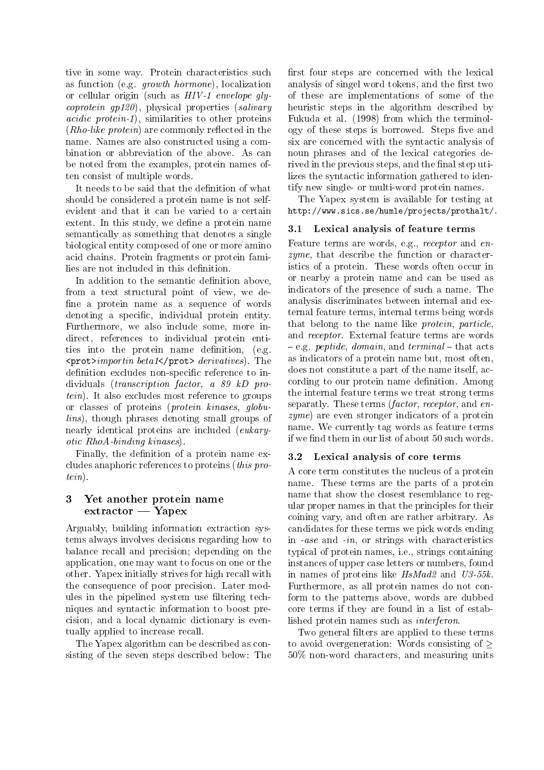tive in some way. Protein characteristics such as function (e.g. growth hormone), localization or cellular origin (such as  $HIV-1$  envelope qly*coprotein qp120*, physical properties (salivary *acidic protein-1*), similarities to other proteins (*Rho-like protein*) are commonly reflected in the name. Names are also constructed using a combination or abbreviation of the above. As can be noted from the examples, protein names often consist of multiple words.

It needs to be said that the definition of what should be considered a protein name is not selfevident and that it can be varied to a certain extent. In this study, we define a protein name semantically as something that denotes a single biological entity composed of one or more amino acid chains. Protein fragments or protein families are not included in this definition.

In addition to the semantic definition above, from a text structural point of view, we define a protein name as a sequence of words denoting a specific, individual protein entity. Furthermore, we also include some, more indirect, references to individual protein entities into the protein name definition, (e.g.  $\langle \text{prot>} \text{import} \rangle$  denotes derivatives). The definition excludes non-specific reference to individuals *(transcription factor, a 89 kD protein*). It also excludes most reference to groups or classes of proteins (*protein kinases*, *globulins*), though phrases denoting small groups of nearly identical proteins are included (eukary*otic RhoA-binding kinases*).

Finally, the definition of a protein name excludes anaphoric references to proteins *(this pro* $tein).$ 

### Yet another protein name 3  $extraction - Yapex$

Arguably, building information extraction systems always involves decisions regarding how to balance recall and precision; depending on the application, one may want to focus on one or the other. Yapex initially strives for high recall with the consequence of poor precision. Later modules in the pipelined system use filtering techniques and syntactic information to boost precision, and a local dynamic dictionary is eventually applied to increase recall.

The Yapex algorithm can be described as consisting of the seven steps described below: The

first four steps are concerned with the lexical analysis of singel word tokens, and the first two of these are implementations of some of the heuristic steps in the algorithm described by Fukuda et al. (1998) from which the terminology of these steps is borrowed. Steps five and six are concerned with the syntactic analysis of noun phrases and of the lexical categories derived in the previous steps, and the final step utilizes the syntactic information gathered to identify new single- or multi-word protein names.

The Yapex system is available for testing at http://www.sics.se/humle/projects/prothalt/.

### Lexical analysis of feature terms  $3.1$

Feature terms are words, e.g., receptor and en*zyme*, that describe the function or characteristics of a protein. These words often occur in or nearby a protein name and can be used as indicators of the presence of such a name. The analysis discriminates between internal and external feature terms, internal terms being words that belong to the name like *protein*, *particle*, and *receptor*. External feature terms are words  $-e.g.$  peptide, domain, and terminal – that acts as indicators of a protein name but, most often, does not constitute a part of the name itself, according to our protein name definition. Among the internal feature terms we treat strong terms separatly. These terms *(factor, receptor, and en-* $\mathit{zyme}$ ) are even stronger indicators of a protein name. We currently tag words as feature terms if we find them in our list of about 50 such words.

#### $3.2$ Lexical analysis of core terms

A core term constitutes the nucleus of a protein name. These terms are the parts of a protein name that show the closest resemblance to regular proper names in that the principles for their coining vary, and often are rather arbitrary. As candidates for these terms we pick words ending in *-ase* and *-in*, or strings with characteristics typical of protein names, *i.e.*, strings containing instances of upper case letters or numbers, found in names of proteins like  $HsMad2$  and  $U3-55k$ . Furthermore, as all protein names do not conform to the patterns above, words are dubbed core terms if they are found in a list of established protein names such as *interferon*.

Two general filters are applied to these terms to avoid overgeneration: Words consisting of  $\geq$ 50% non-word characters, and measuring units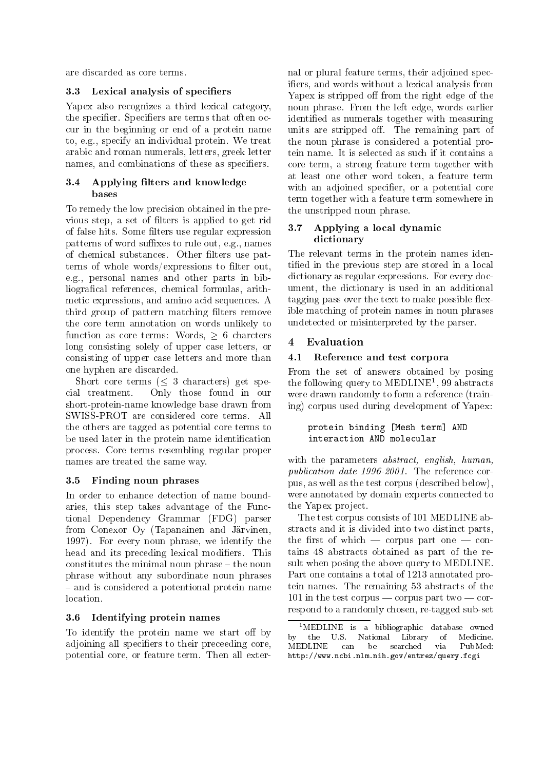are discarded as core terms.

### $3.3$ Lexical analysis of specifiers

Yapex also recognizes a third lexical category, the specifier. Specifiers are terms that often occur in the beginning or end of a protein name to, e.g., specify an individual protein. We treat arabic and roman numerals, letters, greek letter names, and combinations of these as specifiers.

### $3.4$ Applying filters and knowledge bases

To remedy the low precision obtained in the previous step, a set of filters is applied to get rid of false hits. Some filters use regular expression patterns of word suffixes to rule out, e.g., names of chemical substances. Other filters use patterns of whole words/expressions to filter out, e.g., personal names and other parts in bibliografical references, chemical formulas, arithmetic expressions, and amino acid sequences. A third group of pattern matching filters remove the core term annotation on words unlikely to function as core terms: Words,  $> 6$  charcters long consisting solely of upper case letters, or consisting of upper case letters and more than one hyphen are discarded.

Short core terms  $(< 3$  characters) get spe-Only those found in our cial treatment. short-protein-name knowledge base drawn from SWISS-PROT are considered core terms. All the others are tagged as potential core terms to be used later in the protein name identification process. Core terms resembling regular proper names are treated the same way.

### Finding noun phrases 3.5

In order to enhance detection of name boundaries, this step takes advantage of the Functional Dependency Grammar (FDG) parser from Conexor Oy (Tapanainen and Järvinen, 1997). For every noun phrase, we identify the head and its preceding lexical modifiers. This constitutes the minimal noun phrase – the noun phrase without any subordinate noun phrases - and is considered a potentional protein name location.

### Identifying protein names 3.6

To identify the protein name we start off by adjoining all specifiers to their preceeding core, potential core, or feature term. Then all external or plural feature terms, their adjoined specifiers, and words without a lexical analysis from Yapex is stripped off from the right edge of the noun phrase. From the left edge, words earlier identified as numerals together with measuring units are stripped off. The remaining part of the noun phrase is considered a potential protein name. It is selected as such if it contains a core term, a strong feature term together with at least one other word token, a feature term with an adjoined specifier, or a potential core term together with a feature term somewhere in the unstripped noun phrase.

### Applying a local dynamic 3.7 dictionary

The relevant terms in the protein names identified in the previous step are stored in a local dictionary as regular expressions. For every document, the dictionary is used in an additional tagging pass over the text to make possible flexible matching of protein names in noun phrases undetected or misinterpreted by the parser.

### $\overline{\mathbf{4}}$ Evaluation

### $4.1$ Reference and test corpora

From the set of answers obtained by posing the following query to  $\text{MEDLINE}^1$ , 99 abstracts were drawn randomly to form a reference (training) corpus used during development of Yapex:

## protein binding [Mesh term] AND interaction AND molecular

with the parameters *abstract*, *english*, *human*, *publication date 1996-2001*. The reference corpus, as well as the test corpus (described below), were annotated by domain experts connected to the Yapex project.

The test corpus consists of 101 MEDLINE abstracts and it is divided into two distinct parts, the first of which  $-$  corpus part one  $-$  contains 48 abstracts obtained as part of the result when posing the above query to MEDLINE. Part one contains a total of 1213 annotated protein names. The remaining 53 abstracts of the 101 in the test corpus — corpus part two — correspond to a randomly chosen, re-tagged sub-set

<sup>&</sup>lt;sup>1</sup>MEDLINE is a bibliographic database owned by the U.S. National Library of Medicine. MEDLINE can be searched via PubMed: http://www.ncbi.nlm.nih.gov/entrez/query.fcgi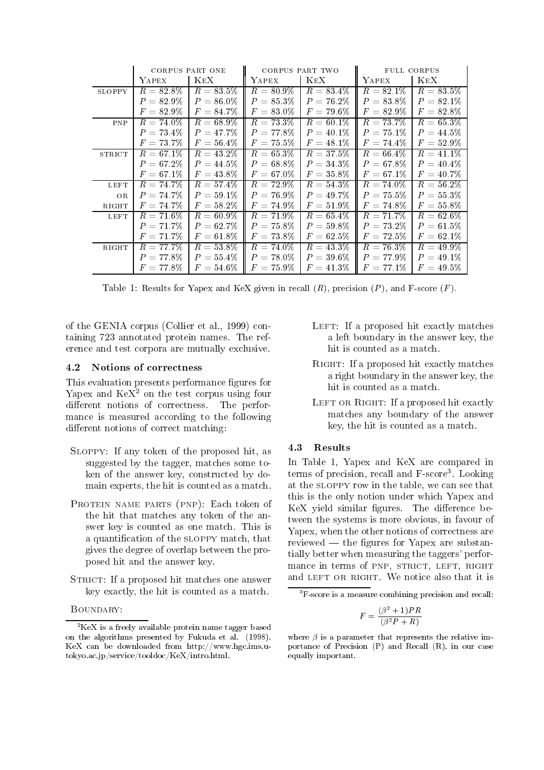|               | CORPUS PART ONE |              | CORPUS PART TWO |                | FULL CORPUS  |              |
|---------------|-----------------|--------------|-----------------|----------------|--------------|--------------|
|               | YAPEX           | <b>KEX</b>   | YAPEX           | <b>KEX</b>     | YAPEX        | <b>KEX</b>   |
| <b>SLOPPY</b> | $R = 82.8\%$    | $R = 83.5\%$ | $R = 80.9\%$    | $R = 83.4\%$   | $R = 82.1\%$ | $R=83.5\%$   |
|               | $P = 82.9\%$    | $P = 86.0\%$ | $P = 85.3\%$    | $P = 76.2\%$   | $P = 83.8\%$ | $P = 82.1\%$ |
|               | $F=82.9\%$      | $F = 84.7\%$ | $F=83.0\%$      | $F=79.6\%$     | $F = 82.9\%$ | $F = 82.8\%$ |
| PNP           | $R = 74.0\%$    | $R = 68.9\%$ | $R = 73.3\%$    | $R=60.1\%$     | $R = 73.7\%$ | $R = 65.3\%$ |
|               | $P = 73.4\%$    | $P = 47.7\%$ | $P=77.8\%$      | $P = 40.1\%$   | $P = 75.1\%$ | $P = 44.5\%$ |
|               | $F = 73.7\%$    | $F=56.4\%$   | $F = 75.5\%$    | $F = 48.1\%$   | $F = 74.4\%$ | $F=52.9\%$   |
| <b>STRICT</b> | $R = 67.1\%$    | $R = 43.2\%$ | $R = 65.3\%$    | $R = 37.5\%$   | $R = 66.4\%$ | $R = 41.1\%$ |
|               | $P = 67.2\%$    | $P = 44.5\%$ | $P = 68.8\%$    | $P = 34.3\%$   | $P = 67.8\%$ | $P = 40.4\%$ |
|               | $F = 67.1\%$    | $F = 43.8\%$ | $F = 67.0\%$    | $F=35.8\%$     | $F = 67.1\%$ | $F = 40.7\%$ |
| <b>LEFT</b>   | $R = 74.7\%$    | $R = 57.4\%$ | $R = 72.9\%$    | $R = 54.3\%$   | $R = 74.0\%$ | $R = 56.2\%$ |
| <b>OR</b>     | $P = 74.7\%$    | $P = 59.1\%$ | $P=76.9\%$      | $P = 49.7\%$   | $P = 75.5\%$ | $P = 55.3\%$ |
| RIGHT         | $F = 74.7\%$    | $F = 58.2\%$ | $F = 74.9\%$    | $F=51.9\%$     | $F = 74.8\%$ | $F = 55.8\%$ |
| <b>LEFT</b>   | $R = 71.6\%$    | $R = 60.9\%$ | $R = 71.9\%$    | $R = 65.4\%$   | $R = 71.7\%$ | $R=62.6\%$   |
|               | $P = 71.7\%$    | $P = 62.7\%$ | $P = 75.8\%$    | $P = 59.8\%$   | $P = 73.2\%$ | $P = 61.5\%$ |
|               | $F = 71.7\%$    | $F=61.8\%$   | $F = 73.8\%$    | $F = 62.5\%$   | $F = 72.5\%$ | $F = 62.1\%$ |
| RIGHT         | $R = 77.7\%$    | $R = 53.8\%$ | $R = 74.0\%$    | $R = 43.3\%$   | $R = 76.3\%$ | $R = 49.9\%$ |
|               | $P = 77.8\%$    | $P = 55.4\%$ | $P = 78.0\%$    | $P = 39.6\%$   | $P = 77.9\%$ | $P = 49.1\%$ |
|               | $F = 77.8\%$    | $F = 54.6\%$ | $F = 75.9\%$    | $F\,=\,41.3\%$ | $F = 77.1\%$ | $F = 49.5\%$ |

Table 1: Results for Yapex and KeX given in recall  $(R)$ , precision  $(P)$ , and F-score  $(F)$ .

of the GENIA corpus (Collier et al., 1999) containing 723 annotated protein names. The reference and test corpora are mutually exclusive.

### $4.2$ Notions of correctness

This evaluation presents performance figures for Yapex and  $\text{KeX}^2$  on the test corpus using four different notions of correctness. The performance is measured according to the following different notions of correct matching:

- SLOPPY: If any token of the proposed hit, as suggested by the tagger, matches some token of the answer key, constructed by domain experts, the hit is counted as a match.
- PROTEIN NAME PARTS (PNP): Each token of the hit that matches any token of the answer key is counted as one match. This is a quantification of the SLOPPY match, that gives the degree of overlap between the proposed hit and the answer key.
- STRICT: If a proposed hit matches one answer key exactly, the hit is counted as a match.

BOUNDARY:

- LEFT: If a proposed hit exactly matches a left boundary in the answer key, the hit is counted as a match.
- RIGHT: If a proposed hit exactly matches a right boundary in the answer key, the hit is counted as a match.
- LEFT OR RIGHT: If a proposed hit exactly matches any boundary of the answer key, the hit is counted as a match.

### 4.3 Results

In Table 1, Yapex and KeX are compared in terms of precision, recall and F-score<sup>3</sup>. Looking at the SLOPPY row in the table, we can see that this is the only notion under which Yapex and KeX yield similar figures. The difference between the systems is more obvious, in favour of Yapex, when the other notions of correctness are reviewed — the figures for Yapex are substantially better when measuring the taggers' performance in terms of PNP, STRICT, LEFT, RIGHT and LEFT OR RIGHT. We notice also that it is

$$
F=\frac{(\beta^2+1)PR}{(\beta^2P+R)}
$$

 ${}^{2}$ KeX is a freely available protein name tagger based on the algorithms presented by Fukuda et al. (1998). KeX can be downloaded from http://www.hgc.ims.u- $\rm{to}$ kyo.ac.jp/service/tooldoc/KeX/intro.html.

 ${}^{3}$ F-score is a measure combining precision and recall:

where  $\beta$  is a parameter that represents the relative importance of Precision  $(P)$  and Recall  $(R)$ , in our case equally important.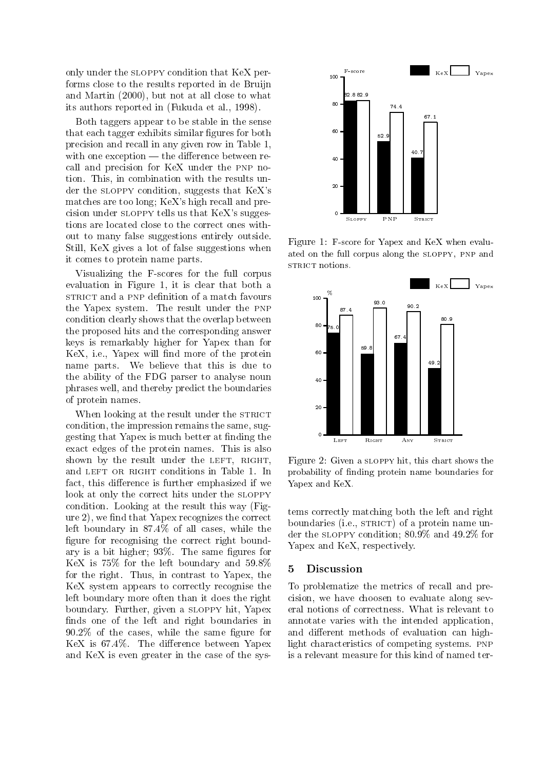only under the SLOPPY condition that KeX performs close to the results reported in de Bruijn and Martin (2000), but not at all close to what its authors reported in (Fukuda et al., 1998).

Both taggers appear to be stable in the sense that each tagger exhibits similar figures for both precision and recall in any given row in Table 1, with one exception  $-$  the difference between recall and precision for KeX under the PNP notion. This, in combination with the results under the SLOPPY condition, suggests that KeX's matches are too long; KeX's high recall and precision under SLOPPY tells us that KeX's suggestions are located close to the correct ones without to many false suggestions entirely outside. Still, KeX gives a lot of false suggestions when it comes to protein name parts.

Visualizing the F-scores for the full corpus evaluation in Figure 1, it is clear that both a STRICT and a PNP definition of a match favours the Yapex system. The result under the PNP condition clearly shows that the overlap between the proposed hits and the corresponding answer keys is remarkably higher for Yapex than for KeX, i.e., Yapex will find more of the protein name parts. We believe that this is due to the ability of the FDG parser to analyse noun phrases well, and thereby predict the boundaries of protein names.

When looking at the result under the STRICT condition, the impression remains the same, suggesting that Yapex is much better at finding the exact edges of the protein names. This is also shown by the result under the LEFT, RIGHT, and LEFT OR RIGHT conditions in Table 1. In fact, this difference is further emphasized if we look at only the correct hits under the SLOPPY condition. Looking at the result this way (Figure 2), we find that Yapex recognizes the correct left boundary in 87.4% of all cases, while the figure for recognising the correct right boundary is a bit higher; 93%. The same figures for KeX is 75% for the left boundary and 59.8% for the right. Thus, in contrast to Yapex, the KeX system appears to correctly recognise the left boundary more often than it does the right boundary. Further, given a SLOPPY hit, Yapex finds one of the left and right boundaries in  $90.2\%$  of the cases, while the same figure for KeX is 67.4%. The difference between Yapex and KeX is even greater in the case of the sys-



Figure 1: F-score for Yapex and KeX when evaluated on the full corpus along the SLOPPY, PNP and STRICT notions.



Figure 2: Given a SLOPPY hit, this chart shows the probability of finding protein name boundaries for Yapex and KeX.

tems correctly matching both the left and right boundaries (i.e., STRICT) of a protein name under the SLOPPY condition;  $80.9\%$  and  $49.2\%$  for Yapex and KeX, respectively.

#### 5 **Discussion**

To problematize the metrics of recall and precision, we have choosen to evaluate along several notions of correctness. What is relevant to annotate varies with the intended application. and different methods of evaluation can highlight characteristics of competing systems. PNP is a relevant measure for this kind of named ter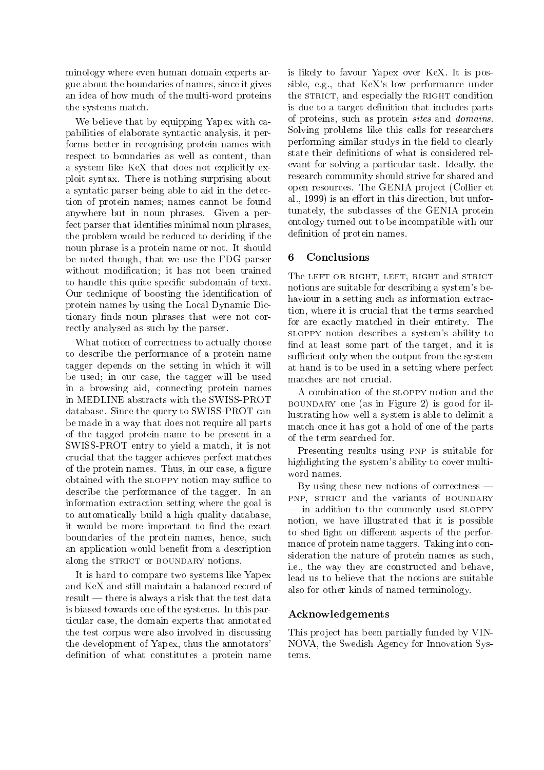minology where even human domain experts argue about the boundaries of names, since it gives an idea of how much of the multi-word proteins the systems match.

We believe that by equipping Yapex with capabilities of elaborate syntactic analysis, it performs better in recognising protein names with respect to boundaries as well as content, than a system like KeX that does not explicitly exploit syntax. There is nothing surprising about a syntatic parser being able to aid in the detection of protein names; names cannot be found anywhere but in noun phrases. Given a perfect parser that identifies minimal noun phrases, the problem would be reduced to deciding if the noun phrase is a protein name or not. It should be noted though, that we use the FDG parser without modification; it has not been trained to handle this quite specific subdomain of text. Our technique of boosting the identification of protein names by using the Local Dynamic Dictionary finds noun phrases that were not correctly analysed as such by the parser.

What notion of correctness to actually choose to describe the performance of a protein name tagger depends on the setting in which it will be used; in our case, the tagger will be used in a browsing aid, connecting protein names in MEDLINE abstracts with the SWISS-PROT database. Since the query to SWISS-PROT can be made in a way that does not require all parts of the tagged protein name to be present in a SWISS-PROT entry to yield a match, it is not crucial that the tagger achieves perfect matches of the protein names. Thus, in our case, a figure obtained with the SLOPPY notion may suffice to describe the performance of the tagger. In an information extraction setting where the goal is to automatically build a high quality database, it would be more important to find the exact boundaries of the protein names, hence, such an application would benefit from a description along the STRICT or BOUNDARY notions.

It is hard to compare two systems like Yapex and KeX and still maintain a balanced record of  $result$  — there is always a risk that the test data is biased towards one of the systems. In this particular case, the domain experts that annotated the test corpus were also involved in discussing the development of Yapex, thus the annotators' definition of what constitutes a protein name is likely to favour Yapex over KeX. It is possible, e.g., that KeX's low performance under the STRICT, and especially the RIGHT condition is due to a target definition that includes parts of proteins, such as protein sites and domains. Solving problems like this calls for researchers performing similar studys in the field to clearly state their definitions of what is considered relevant for solving a particular task. Ideally, the research community should strive for shared and open resources. The GENIA project (Collier et al., 1999) is an effort in this direction, but unfortunately, the subclasses of the GENIA protein ontology turned out to be incompatible with our definition of protein names.

### Conclusions 6

The LEFT OR RIGHT, LEFT, RIGHT and STRICT notions are suitable for describing a system's behaviour in a setting such as information extraction, where it is crucial that the terms searched for are exactly matched in their entirety. The SLOPPY notion describes a system's ability to find at least some part of the target, and it is sufficient only when the output from the system at hand is to be used in a setting where perfect matches are not crucial.

A combination of the SLOPPY notion and the BOUNDARY one (as in Figure 2) is good for illustrating how well a system is able to delimit a match once it has got a hold of one of the parts of the term searched for.

Presenting results using PNP is suitable for highlighting the system's ability to cover multiword names.

By using these new notions of correctness  $-$ PNP, STRICT and the variants of BOUNDARY - in addition to the commonly used SLOPPY notion, we have illustrated that it is possible to shed light on different aspects of the performance of protein name taggers. Taking into consideration the nature of protein names as such, i.e., the way they are constructed and behave. lead us to believe that the notions are suitable also for other kinds of named terminology.

## Acknowledgements

This project has been partially funded by VIN-NOVA, the Swedish Agency for Innovation Systems.